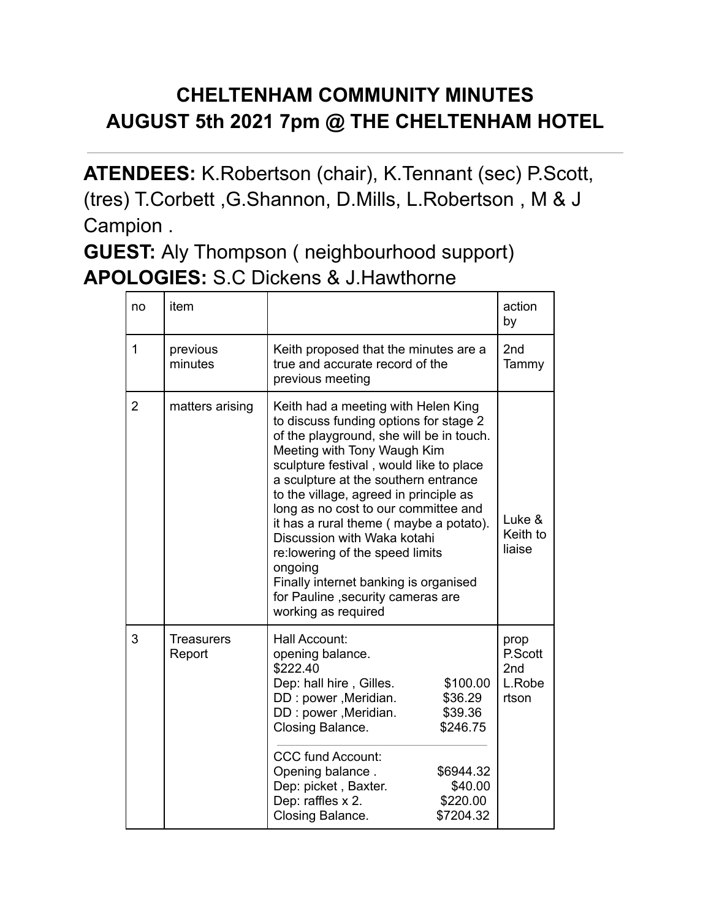## **CHELTENHAM COMMUNITY MINUTES AUGUST 5th 2021 7pm @ THE CHELTENHAM HOTEL**

**ATENDEES:** K.Robertson (chair), K.Tennant (sec) P.Scott, (tres) T.Corbett ,G.Shannon, D.Mills, L.Robertson , M & J Campion .

**GUEST:** Aly Thompson ( neighbourhood support) **APOLOGIES:** S.C Dickens & J.Hawthorne

| no             | item                        |                                                                                                                                                                                                                                                                                                                                                                                                                                                                                                                                                             |                                                                                             | action<br>by                              |
|----------------|-----------------------------|-------------------------------------------------------------------------------------------------------------------------------------------------------------------------------------------------------------------------------------------------------------------------------------------------------------------------------------------------------------------------------------------------------------------------------------------------------------------------------------------------------------------------------------------------------------|---------------------------------------------------------------------------------------------|-------------------------------------------|
| 1              | previous<br>minutes         | Keith proposed that the minutes are a<br>true and accurate record of the<br>previous meeting                                                                                                                                                                                                                                                                                                                                                                                                                                                                |                                                                                             | 2 <sub>nd</sub><br>Tammy                  |
| $\overline{2}$ | matters arising             | Keith had a meeting with Helen King<br>to discuss funding options for stage 2<br>of the playground, she will be in touch.<br>Meeting with Tony Waugh Kim<br>sculpture festival, would like to place<br>a sculpture at the southern entrance<br>to the village, agreed in principle as<br>long as no cost to our committee and<br>it has a rural theme (maybe a potato).<br>Discussion with Waka kotahi<br>re: lowering of the speed limits<br>ongoing<br>Finally internet banking is organised<br>for Pauline , security cameras are<br>working as required |                                                                                             | Luke &<br>Keith to<br>liaise              |
| 3              | <b>Treasurers</b><br>Report | Hall Account:<br>opening balance.<br>\$222.40<br>Dep: hall hire, Gilles.<br>DD: power, Meridian.<br>DD: power, Meridian.<br>Closing Balance.<br><b>CCC fund Account:</b><br>Opening balance.<br>Dep: picket, Baxter.<br>Dep: raffles x 2.<br>Closing Balance.                                                                                                                                                                                                                                                                                               | \$100.00<br>\$36.29<br>\$39.36<br>\$246.75<br>\$6944.32<br>\$40.00<br>\$220.00<br>\$7204.32 | prop<br>P.Scott<br>2nd<br>L.Robe<br>rtson |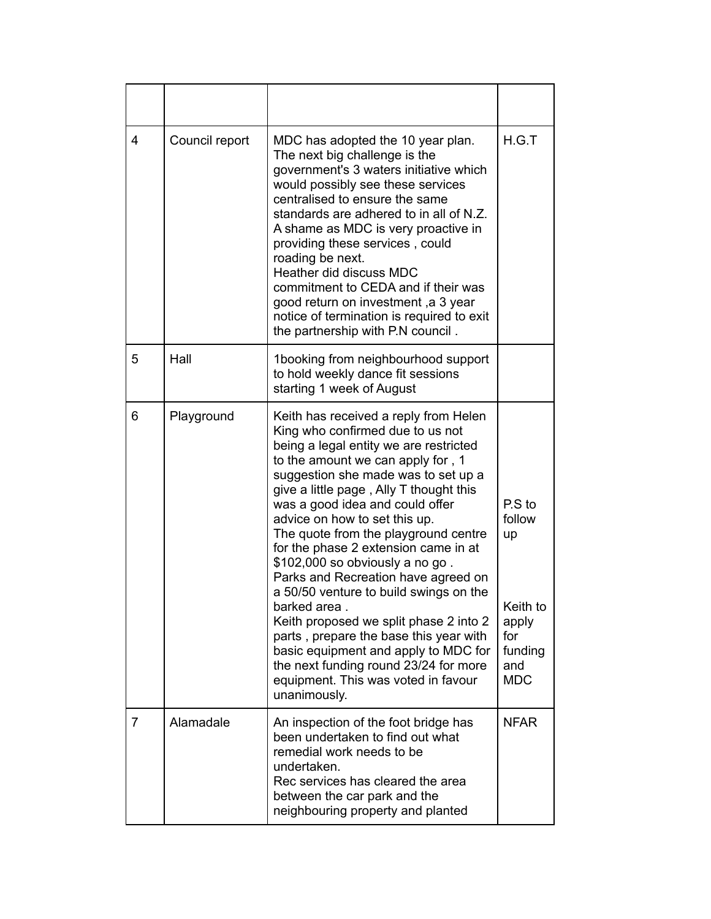| 4 | Council report | MDC has adopted the 10 year plan.<br>The next big challenge is the<br>government's 3 waters initiative which<br>would possibly see these services<br>centralised to ensure the same<br>standards are adhered to in all of N.Z.<br>A shame as MDC is very proactive in<br>providing these services, could<br>roading be next.<br>Heather did discuss MDC<br>commitment to CEDA and if their was<br>good return on investment, a 3 year<br>notice of termination is required to exit<br>the partnership with P.N council.                                                                                                                                                                                                                                        | H.G.T                                                                              |
|---|----------------|----------------------------------------------------------------------------------------------------------------------------------------------------------------------------------------------------------------------------------------------------------------------------------------------------------------------------------------------------------------------------------------------------------------------------------------------------------------------------------------------------------------------------------------------------------------------------------------------------------------------------------------------------------------------------------------------------------------------------------------------------------------|------------------------------------------------------------------------------------|
| 5 | Hall           | 1booking from neighbourhood support<br>to hold weekly dance fit sessions<br>starting 1 week of August                                                                                                                                                                                                                                                                                                                                                                                                                                                                                                                                                                                                                                                          |                                                                                    |
| 6 | Playground     | Keith has received a reply from Helen<br>King who confirmed due to us not<br>being a legal entity we are restricted<br>to the amount we can apply for, 1<br>suggestion she made was to set up a<br>give a little page, Ally T thought this<br>was a good idea and could offer<br>advice on how to set this up.<br>The quote from the playground centre<br>for the phase 2 extension came in at<br>\$102,000 so obviously a no go.<br>Parks and Recreation have agreed on<br>a 50/50 venture to build swings on the<br>barked area.<br>Keith proposed we split phase 2 into 2<br>parts, prepare the base this year with<br>basic equipment and apply to MDC for<br>the next funding round 23/24 for more<br>equipment. This was voted in favour<br>unanimously. | P.S to<br>follow<br>up<br>Keith to<br>apply<br>for<br>funding<br>and<br><b>MDC</b> |
| 7 | Alamadale      | An inspection of the foot bridge has<br>been undertaken to find out what<br>remedial work needs to be<br>undertaken.<br>Rec services has cleared the area<br>between the car park and the<br>neighbouring property and planted                                                                                                                                                                                                                                                                                                                                                                                                                                                                                                                                 | <b>NFAR</b>                                                                        |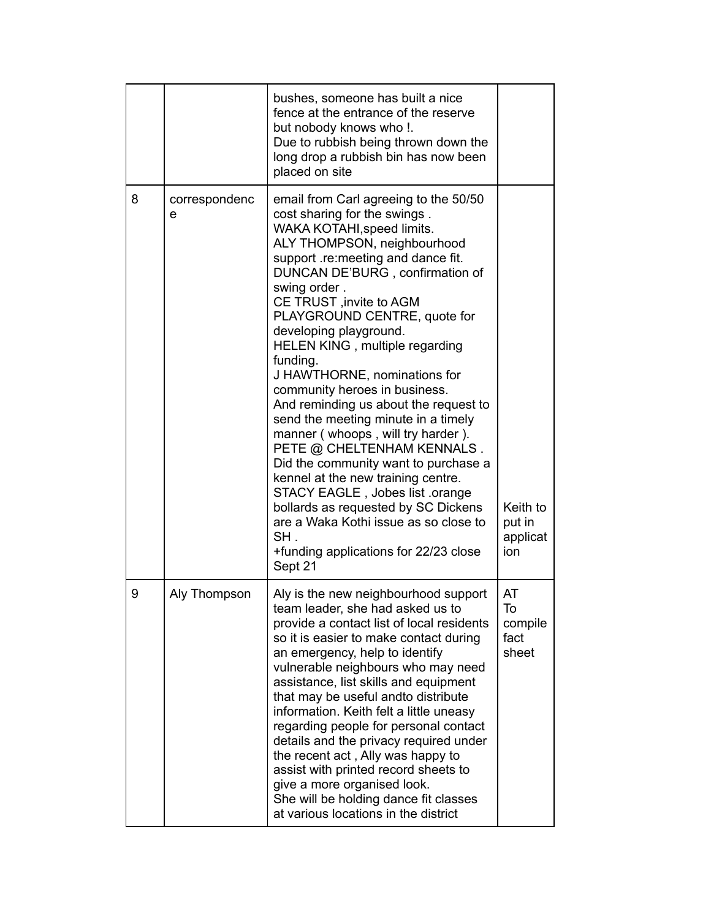|   |                    | bushes, someone has built a nice<br>fence at the entrance of the reserve<br>but nobody knows who !.<br>Due to rubbish being thrown down the<br>long drop a rubbish bin has now been<br>placed on site                                                                                                                                                                                                                                                                                                                                                                                                                                                                                                                                                                                                                                          |                                       |
|---|--------------------|------------------------------------------------------------------------------------------------------------------------------------------------------------------------------------------------------------------------------------------------------------------------------------------------------------------------------------------------------------------------------------------------------------------------------------------------------------------------------------------------------------------------------------------------------------------------------------------------------------------------------------------------------------------------------------------------------------------------------------------------------------------------------------------------------------------------------------------------|---------------------------------------|
| 8 | correspondenc<br>e | email from Carl agreeing to the 50/50<br>cost sharing for the swings.<br>WAKA KOTAHI, speed limits.<br>ALY THOMPSON, neighbourhood<br>support .re:meeting and dance fit.<br>DUNCAN DE'BURG, confirmation of<br>swing order.<br>CE TRUST, invite to AGM<br>PLAYGROUND CENTRE, quote for<br>developing playground.<br>HELEN KING, multiple regarding<br>funding.<br>J HAWTHORNE, nominations for<br>community heroes in business.<br>And reminding us about the request to<br>send the meeting minute in a timely<br>manner (whoops, will try harder).<br>PETE @ CHELTENHAM KENNALS.<br>Did the community want to purchase a<br>kennel at the new training centre.<br>STACY EAGLE, Jobes list .orange<br>bollards as requested by SC Dickens<br>are a Waka Kothi issue as so close to<br>SH.<br>+funding applications for 22/23 close<br>Sept 21 | Keith to<br>put in<br>applicat<br>ion |
| 9 | Aly Thompson       | Aly is the new neighbourhood support<br>team leader, she had asked us to<br>provide a contact list of local residents<br>so it is easier to make contact during<br>an emergency, help to identify<br>vulnerable neighbours who may need<br>assistance, list skills and equipment<br>that may be useful andto distribute<br>information. Keith felt a little uneasy<br>regarding people for personal contact<br>details and the privacy required under<br>the recent act, Ally was happy to<br>assist with printed record sheets to<br>give a more organised look.<br>She will be holding dance fit classes<br>at various locations in the district                                                                                                                                                                                             | AT<br>To<br>compile<br>fact<br>sheet  |